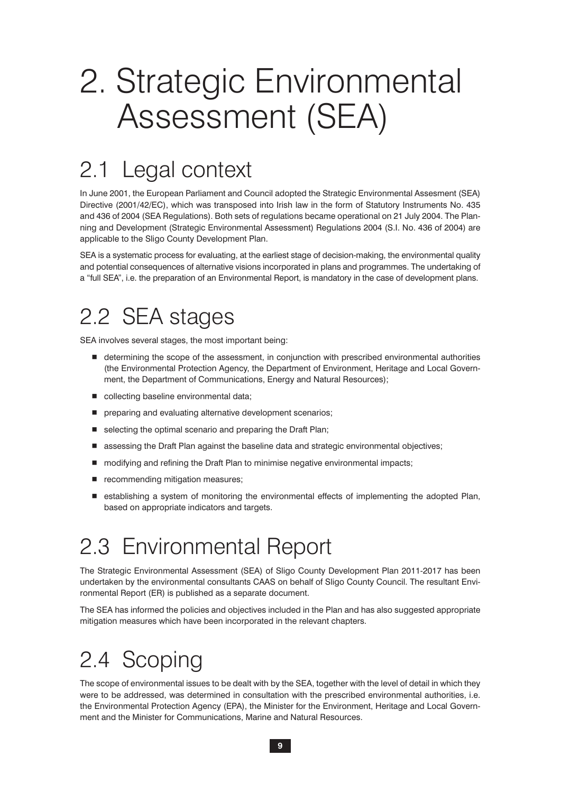# 2. Strategic Environmental  $\sqrt{2}$

In June 2001, the European Parliament and Council adopted the Strategic Environmental Assesment (SEA) Directive (2001/42/EC), which was transposed into Irish law in the form of Statutory Instruments No. 435 and 436 of 2004 (SEA Regulations). Both sets of regulations became operational on 21 July 2004. The Planning and Development (Strategic Environmental Assessment) Regulations 2004 (S.I. No. 436 of 2004) are applicable to the Sligo County Development Plan.

SEA is a systematic process for evaluating, at the earliest stage of decision-making, the environmental quality and potential consequences of alternative visions incorporated in plans and programmes. The undertaking of a "full SEA", i.e. the preparation of an Environmental Report, is mandatory in the case of development plans.

2.2 SEA stages SEA involves several stages, the most important being:

- determining the scope of the assessment, in conjunction with prescribed environmental authorities (the Environmental Protection Agency, the Department of Environment, Heritage and Local Government, the Department of Communications, Energy and Natural Resources);
- collecting baseline environmental data;
- preparing and evaluating alternative development scenarios;
- **E** selecting the optimal scenario and preparing the Draft Plan;
- assessing the Draft Plan against the baseline data and strategic environmental objectives;
- modifying and refining the Draft Plan to minimise negative environmental impacts;
- **E** recommending mitigation measures;
- establishing a system of monitoring the environmental effects of implementing the adopted Plan, based on appropriate indicators and targets.

The Strategic Environmental Assessment (SEA) of Sligo County Development Plan 2011-2017 has been undertaken by the environmental consultants CAAS on behalf of Sligo County Council. The resultant Environmental Report (ER) is published as a separate document.

The SEA has informed the policies and objectives included in the Plan and has also suggested appropriate mitigation measures which have been incorporated in the relevant chapters.

The scope of environmental issues to be dealt with by the SEA, together with the level of detail in which they were to be addressed, was determined in consultation with the prescribed environmental authorities, i.e. the Environmental Protection Agency (EPA), the Minister for the Environment, Heritage and Local Government and the Minister for Communications, Marine and Natural Resources.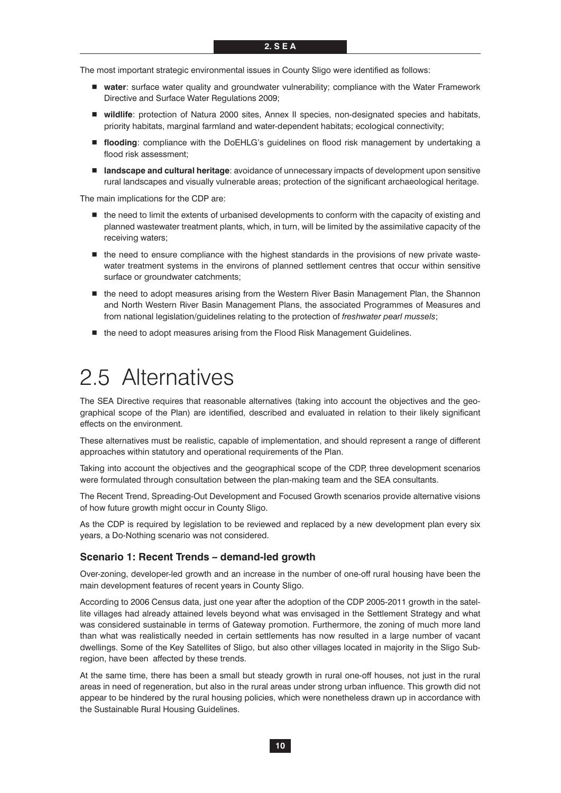The most important strategic environmental issues in County Sligo were identified as follows:

- **u** water: surface water quality and groundwater vulnerability; compliance with the Water Framework Directive and Surface Water Regulations 2009;
- **und wildlife**: protection of Natura 2000 sites, Annex II species, non-designated species and habitats, priority habitats, marginal farmland and water-dependent habitats; ecological connectivity;
- flooding: compliance with the DoEHLG's guidelines on flood risk management by undertaking a flood risk assessment;
- landscape and cultural heritage: avoidance of unnecessary impacts of development upon sensitive rural landscapes and visually vulnerable areas; protection of the significant archaeological heritage.

The main implications for the CDP are:

- $\blacksquare$  the need to limit the extents of urbanised developments to conform with the capacity of existing and planned wastewater treatment plants, which, in turn, will be limited by the assimilative capacity of the receiving waters;
- $\blacksquare$  the need to ensure compliance with the highest standards in the provisions of new private wastewater treatment systems in the environs of planned settlement centres that occur within sensitive surface or groundwater catchments;
- $\blacksquare$  the need to adopt measures arising from the Western River Basin Management Plan, the Shannon and North Western River Basin Management Plans, the associated Programmes of Measures and from national legislation/guidelines relating to the protection of *freshwater pearl mussels*;
- the need to adopt measures arising from the Flood Risk Management Guidelines.

## 2.5 Alternatives

The SEA Directive requires that reasonable alternatives (taking into account the objectives and the geographical scope of the Plan) are identified, described and evaluated in relation to their likely significant effects on the environment.

These alternatives must be realistic, capable of implementation, and should represent a range of different approaches within statutory and operational requirements of the Plan.

Taking into account the objectives and the geographical scope of the CDP, three development scenarios were formulated through consultation between the plan-making team and the SEA consultants.

The Recent Trend, Spreading-Out Development and Focused Growth scenarios provide alternative visions of how future growth might occur in County Sligo.

As the CDP is required by legislation to be reviewed and replaced by a new development plan every six years, a Do-Nothing scenario was not considered.

## **Scenario 1: Recent Trends – demand-led growth**

Over-zoning, developer-led growth and an increase in the number of one-off rural housing have been the main development features of recent years in County Sligo.

According to 2006 Census data, just one year after the adoption of the CDP 2005-2011 growth in the satellite villages had already attained levels beyond what was envisaged in the Settlement Strategy and what was considered sustainable in terms of Gateway promotion. Furthermore, the zoning of much more land than what was realistically needed in certain settlements has now resulted in a large number of vacant dwellings. Some of the Key Satellites of Sligo, but also other villages located in majority in the Sligo Subregion, have been affected by these trends.

At the same time, there has been a small but steady growth in rural one-off houses, not just in the rural areas in need of regeneration, but also in the rural areas under strong urban influence. This growth did not appear to be hindered by the rural housing policies, which were nonetheless drawn up in accordance with the Sustainable Rural Housing Guidelines.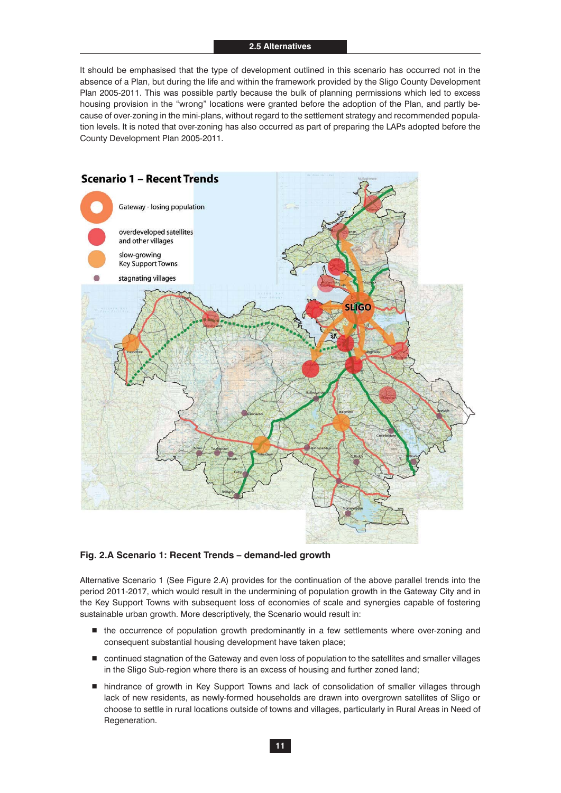### **2.5 Alternatives**

It should be emphasised that the type of development outlined in this scenario has occurred not in the absence of a Plan, but during the life and within the framework provided by the Sligo County Development Plan 2005-2011. This was possible partly because the bulk of planning permissions which led to excess housing provision in the "wrong" locations were granted before the adoption of the Plan, and partly because of over-zoning in the mini-plans, without regard to the settlement strategy and recommended population levels. It is noted that over-zoning has also occurred as part of preparing the LAPs adopted before the County Development Plan 2005-2011.



## **Fig. 2.A Scenario 1: Recent Trends – demand-led growth**

Alternative Scenario 1 (See Figure 2.A) provides for the continuation of the above parallel trends into the period 2011-2017, which would result in the undermining of population growth in the Gateway City and in the Key Support Towns with subsequent loss of economies of scale and synergies capable of fostering sustainable urban growth. More descriptively, the Scenario would result in:

- $\blacksquare$  the occurrence of population growth predominantly in a few settlements where over-zoning and consequent substantial housing development have taken place;
- continued stagnation of the Gateway and even loss of population to the satellites and smaller villages in the Sligo Sub-region where there is an excess of housing and further zoned land;
- hindrance of growth in Key Support Towns and lack of consolidation of smaller villages through lack of new residents, as newly-formed households are drawn into overgrown satellites of Sligo or choose to settle in rural locations outside of towns and villages, particularly in Rural Areas in Need of Regeneration.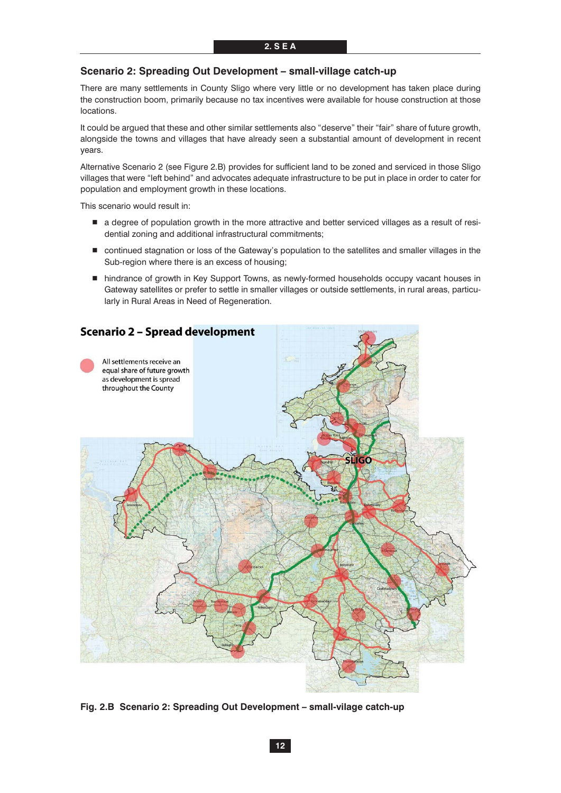## **Scenario 2: Spreading Out Development – small-village catch-up**

There are many settlements in County Sligo where very little or no development has taken place during the construction boom, primarily because no tax incentives were available for house construction at those locations.

It could be argued that these and other similar settlements also "deserve" their "fair" share of future growth, alongside the towns and villages that have already seen a substantial amount of development in recent years.

Alternative Scenario 2 (see Figure 2.B) provides for sufficient land to be zoned and serviced in those Sligo villages that were "left behind" and advocates adequate infrastructure to be put in place in order to cater for population and employment growth in these locations.

This scenario would result in:

- a degree of population growth in the more attractive and better serviced villages as a result of residential zoning and additional infrastructural commitments;
- continued stagnation or loss of the Gateway's population to the satellites and smaller villages in the Sub-region where there is an excess of housing;
- hindrance of growth in Key Support Towns, as newly-formed households occupy vacant houses in Gateway satellites or prefer to settle in smaller villages or outside settlements, in rural areas, particularly in Rural Areas in Need of Regeneration.



**Fig. 2.B Scenario 2: Spreading Out Development – small-vilage catch-up**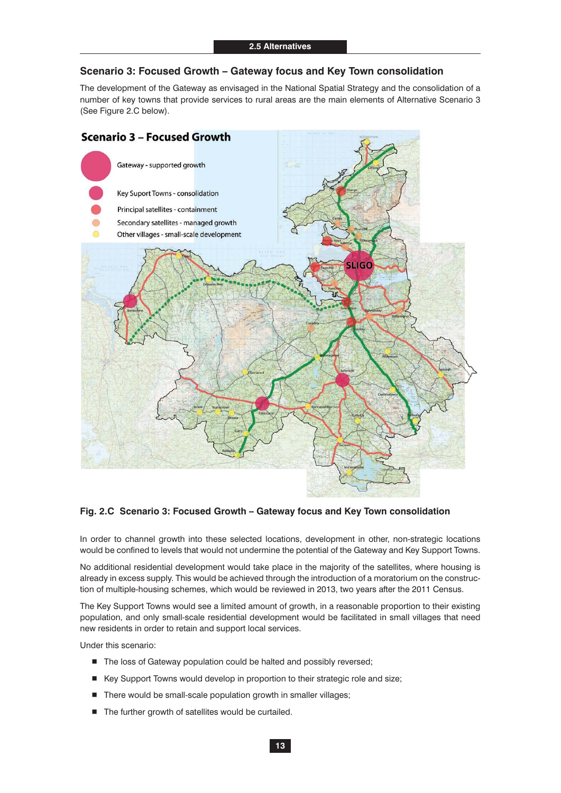## **Scenario 3: Focused Growth – Gateway focus and Key Town consolidation**

The development of the Gateway as envisaged in the National Spatial Strategy and the consolidation of a number of key towns that provide services to rural areas are the main elements of Alternative Scenario 3 (See Figure 2.C below).



## **Fig. 2.C Scenario 3: Focused Growth – Gateway focus and Key Town consolidation**

In order to channel growth into these selected locations, development in other, non-strategic locations would be confined to levels that would not undermine the potential of the Gateway and Key Support Towns.

No additional residential development would take place in the majority of the satellites, where housing is already in excess supply. This would be achieved through the introduction of a moratorium on the construction of multiple-housing schemes, which would be reviewed in 2013, two years after the 2011 Census.

The Key Support Towns would see a limited amount of growth, in a reasonable proportion to their existing population, and only small-scale residential development would be facilitated in small villages that need new residents in order to retain and support local services.

Under this scenario:

- The loss of Gateway population could be halted and possibly reversed;
- Key Support Towns would develop in proportion to their strategic role and size;
- There would be small-scale population growth in smaller villages;
- The further growth of satellites would be curtailed.